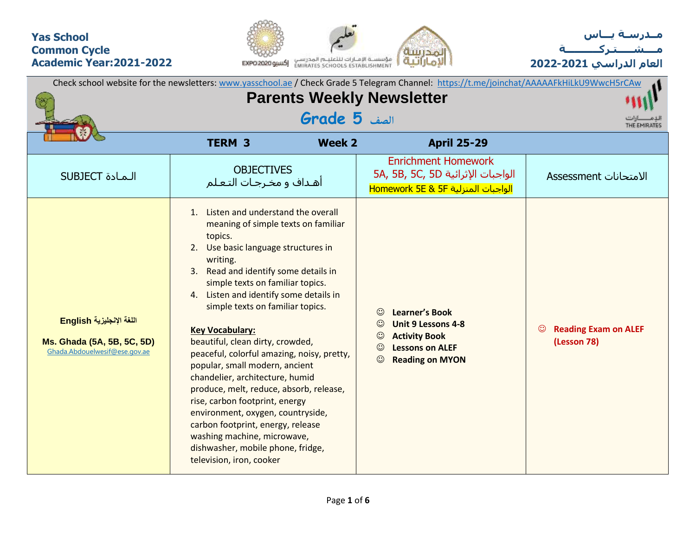## **Yas School Common Cycle Academic Year:2021-2022**





**العام الدراسي 2022-2021**

|                                                                                         |                                                                                                                                                                                                                                                                                                                                                                                                                                                                                                                                                                                                                                                                                                                                                               |               | Check school website for the newsletters: www.yasschool.ae / Check Grade 5 Telegram Channel: https://t.me/joinchat/AAAAAFkHiLkU9WwcH5rCAw                                             |                                                       |
|-----------------------------------------------------------------------------------------|---------------------------------------------------------------------------------------------------------------------------------------------------------------------------------------------------------------------------------------------------------------------------------------------------------------------------------------------------------------------------------------------------------------------------------------------------------------------------------------------------------------------------------------------------------------------------------------------------------------------------------------------------------------------------------------------------------------------------------------------------------------|---------------|---------------------------------------------------------------------------------------------------------------------------------------------------------------------------------------|-------------------------------------------------------|
|                                                                                         | THE EMIRATES                                                                                                                                                                                                                                                                                                                                                                                                                                                                                                                                                                                                                                                                                                                                                  |               |                                                                                                                                                                                       |                                                       |
|                                                                                         | <b>TERM 3</b>                                                                                                                                                                                                                                                                                                                                                                                                                                                                                                                                                                                                                                                                                                                                                 | <b>Week 2</b> | <b>April 25-29</b>                                                                                                                                                                    |                                                       |
| <b>SUBJECT</b> الـمـادة                                                                 | <b>OBJECTIVES</b><br>أهـداف و مخـرجـات التـعـلم                                                                                                                                                                                                                                                                                                                                                                                                                                                                                                                                                                                                                                                                                                               |               | <b>Enrichment Homework</b><br>5A, 5B, 5C, 5D الواجبات الإثرائية<br>الواجبات المنزلية Homework 5E & 5F                                                                                 | الامتحانات Assessment                                 |
| اللغة الإنجليزية English<br>Ms. Ghada (5A, 5B, 5C, 5D)<br>Ghada.Abdouelwesif@ese.gov.ae | Listen and understand the overall<br>$1_{\cdot}$<br>meaning of simple texts on familiar<br>topics.<br>Use basic language structures in<br>2.<br>writing.<br>Read and identify some details in<br>3.<br>simple texts on familiar topics.<br>4. Listen and identify some details in<br>simple texts on familiar topics.<br><b>Key Vocabulary:</b><br>beautiful, clean dirty, crowded,<br>peaceful, colorful amazing, noisy, pretty,<br>popular, small modern, ancient<br>chandelier, architecture, humid<br>produce, melt, reduce, absorb, release,<br>rise, carbon footprint, energy<br>environment, oxygen, countryside,<br>carbon footprint, energy, release<br>washing machine, microwave,<br>dishwasher, mobile phone, fridge,<br>television, iron, cooker |               | <b>Learner's Book</b><br>$\odot$<br>$\odot$<br><b>Unit 9 Lessons 4-8</b><br>$\odot$<br><b>Activity Book</b><br>$\odot$<br><b>Lessons on ALEF</b><br>$\odot$<br><b>Reading on MYON</b> | <b>Reading Exam on ALEF</b><br>$\odot$<br>(Lesson 78) |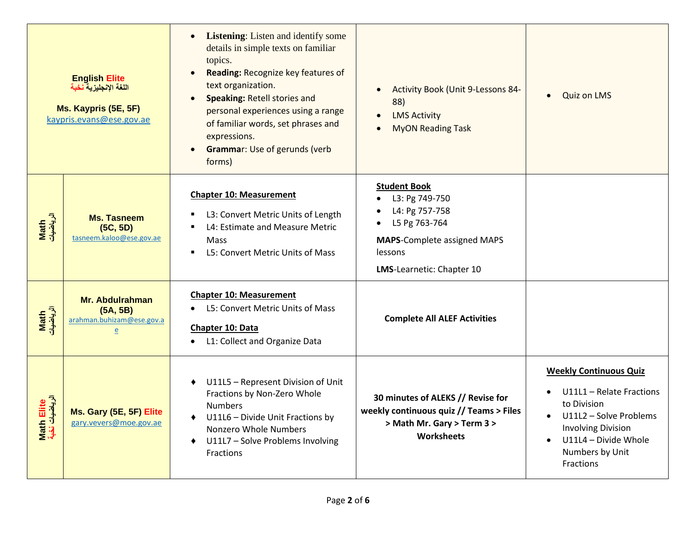|                              | <b>English Elite</b><br>اللغة الإنجليزية نخبة<br>Ms. Kaypris (5E, 5F)<br>kaypris.evans@ese.gov.ae | <b>Listening:</b> Listen and identify some<br>$\bullet$<br>details in simple texts on familiar<br>topics.<br>Reading: Recognize key features of<br>$\bullet$<br>text organization.<br>Speaking: Retell stories and<br>$\bullet$<br>personal experiences using a range<br>of familiar words, set phrases and<br>expressions.<br><b>Grammar: Use of gerunds (verb)</b><br>$\bullet$<br>forms) | Activity Book (Unit 9-Lessons 84-<br>$\bullet$<br>88)<br><b>LMS Activity</b><br><b>MyON Reading Task</b>                                               | <b>Quiz on LMS</b><br>$\bullet$                                                                                                                                                         |  |  |  |  |  |
|------------------------------|---------------------------------------------------------------------------------------------------|---------------------------------------------------------------------------------------------------------------------------------------------------------------------------------------------------------------------------------------------------------------------------------------------------------------------------------------------------------------------------------------------|--------------------------------------------------------------------------------------------------------------------------------------------------------|-----------------------------------------------------------------------------------------------------------------------------------------------------------------------------------------|--|--|--|--|--|
| Math<br>الرياضيات            | <b>Ms. Tasneem</b><br>(5C, 5D)<br>tasneem.kaloo@ese.gov.ae                                        | <b>Chapter 10: Measurement</b><br>L3: Convert Metric Units of Length<br>L4: Estimate and Measure Metric<br>$\blacksquare$<br><b>Mass</b><br>L5: Convert Metric Units of Mass<br>$\blacksquare$                                                                                                                                                                                              | <b>Student Book</b><br>L3: Pg 749-750<br>L4: Pg 757-758<br>L5 Pg 763-764<br><b>MAPS-Complete assigned MAPS</b><br>lessons<br>LMS-Learnetic: Chapter 10 |                                                                                                                                                                                         |  |  |  |  |  |
| Math<br>الرياضيات            | Mr. Abdulrahman<br>(5A, 5B)<br>arahman.buhizam@ese.gov.a<br>e                                     | <b>Chapter 10: Measurement</b><br>L5: Convert Metric Units of Mass<br>Chapter 10: Data<br>L1: Collect and Organize Data<br>$\bullet$                                                                                                                                                                                                                                                        | <b>Complete All ALEF Activities</b>                                                                                                                    |                                                                                                                                                                                         |  |  |  |  |  |
| Math Elite<br>الرياضيات نخبة | Ms. Gary (5E, 5F) Elite<br>gary.vevers@moe.gov.ae                                                 | U11L5 - Represent Division of Unit<br>٠<br>Fractions by Non-Zero Whole<br><b>Numbers</b><br>U11L6 - Divide Unit Fractions by<br>Nonzero Whole Numbers<br>U11L7 - Solve Problems Involving<br>Fractions                                                                                                                                                                                      | 30 minutes of ALEKS // Revise for<br>weekly continuous quiz // Teams > Files<br>> Math Mr. Gary > Term 3 ><br>Worksheets                               | <b>Weekly Continuous Quiz</b><br>U11L1 - Relate Fractions<br>to Division<br>U11L2 - Solve Problems<br><b>Involving Division</b><br>U11L4 - Divide Whole<br>Numbers by Unit<br>Fractions |  |  |  |  |  |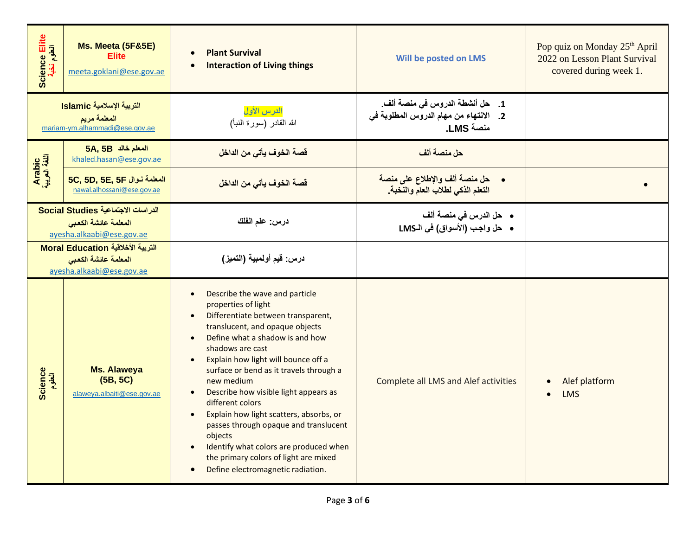| Science Elite<br>العلوم نخبة | Ms. Meeta (5F&5E)<br><b>Elite</b><br>meeta.goklani@ese.gov.ae                           | <b>Plant Survival</b><br>$\bullet$<br><b>Interaction of Living things</b><br>$\bullet$                                                                                                                                                                                                                                                                                                                                                                                                                                                                                                                                                                  | Will be posted on LMS                                                                  | Pop quiz on Monday 25 <sup>th</sup> April<br>2022 on Lesson Plant Survival<br>covered during week 1. |  |  |  |  |
|------------------------------|-----------------------------------------------------------------------------------------|---------------------------------------------------------------------------------------------------------------------------------------------------------------------------------------------------------------------------------------------------------------------------------------------------------------------------------------------------------------------------------------------------------------------------------------------------------------------------------------------------------------------------------------------------------------------------------------------------------------------------------------------------------|----------------------------------------------------------------------------------------|------------------------------------------------------------------------------------------------------|--|--|--|--|
|                              | التربية الإسلامية Islamic<br>المعلمة مريم<br>mariam-ym.alhammadi@ese.gov.ae             | الدرس الأول<br>الله القادر (سورة النبأ)                                                                                                                                                                                                                                                                                                                                                                                                                                                                                                                                                                                                                 | 1. حل أنشطة الدروس في منصة ألف.<br>2. الانتهاء من مهام الدروس المطلوبة في<br>منصة LMS. |                                                                                                      |  |  |  |  |
|                              | 5A, 5B المعلم خالد<br>khaled.hasan@ese.gov.ae                                           | قصة الخوف يأتي من الداخل                                                                                                                                                                                                                                                                                                                                                                                                                                                                                                                                                                                                                                | حل منصة ألف                                                                            |                                                                                                      |  |  |  |  |
| Arabic<br>اللغة العربية      | 5C, 5D, 5E, 5F المعلمة نوال<br>nawal.alhossani@ese.gov.ae                               | قصة الخوف يأتي من الداخل                                                                                                                                                                                                                                                                                                                                                                                                                                                                                                                                                                                                                                | حل منصة ألف والإطلاع على منصة<br>التعلم الذكي لطلاب العام والنخبة.                     |                                                                                                      |  |  |  |  |
|                              | الدراسات الاجتماعية Social Studies<br>المعلمة عائشة الكعبى<br>ayesha.alkaabi@ese.gov.ae | درس: علم الفلك                                                                                                                                                                                                                                                                                                                                                                                                                                                                                                                                                                                                                                          | •    حل الدرس في منصة ألف<br>• حل واجب (الأسواق) في الـLMS                             |                                                                                                      |  |  |  |  |
|                              | التربية الأخلاقية Moral Education<br>المعلمة عائشة الكعبى<br>ayesha.alkaabi@ese.gov.ae  | درس: قيم أولمبية (التميز)                                                                                                                                                                                                                                                                                                                                                                                                                                                                                                                                                                                                                               |                                                                                        |                                                                                                      |  |  |  |  |
| <b>Science</b><br>العلوم     | <b>Ms. Alaweya</b><br>(5B, 5C)<br>alaweya.albaiti@ese.gov.ae                            | Describe the wave and particle<br>$\bullet$<br>properties of light<br>Differentiate between transparent,<br>$\bullet$<br>translucent, and opaque objects<br>Define what a shadow is and how<br>$\bullet$<br>shadows are cast<br>Explain how light will bounce off a<br>$\bullet$<br>surface or bend as it travels through a<br>new medium<br>Describe how visible light appears as<br>different colors<br>Explain how light scatters, absorbs, or<br>$\bullet$<br>passes through opaque and translucent<br>objects<br>Identify what colors are produced when<br>the primary colors of light are mixed<br>Define electromagnetic radiation.<br>$\bullet$ | <b>Complete all LMS and Alef activities</b>                                            | Alef platform<br>LMS                                                                                 |  |  |  |  |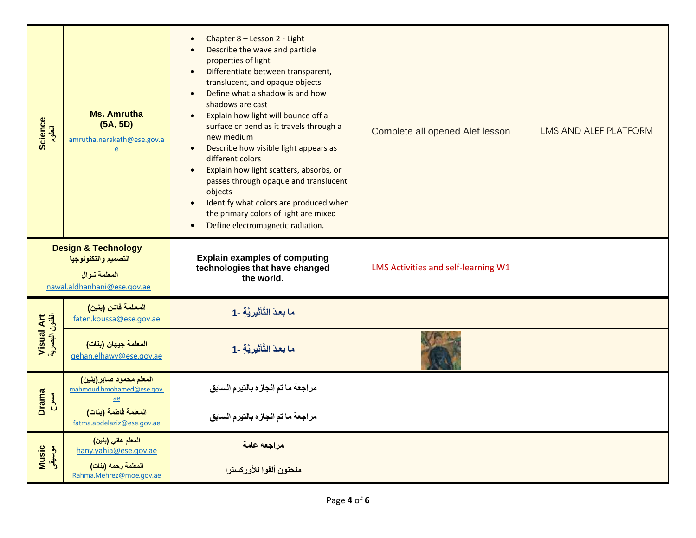| Science<br>الطوم             | <b>Ms. Amrutha</b><br>(5A, 5D)<br>amrutha.narakath@ese.gov.a<br>$\overline{e}$                        | Chapter 8 - Lesson 2 - Light<br>$\bullet$<br>Describe the wave and particle<br>properties of light<br>Differentiate between transparent,<br>$\bullet$<br>translucent, and opaque objects<br>Define what a shadow is and how<br>$\bullet$<br>shadows are cast<br>Explain how light will bounce off a<br>surface or bend as it travels through a<br>new medium<br>Describe how visible light appears as<br>$\bullet$<br>different colors<br>Explain how light scatters, absorbs, or<br>$\bullet$<br>passes through opaque and translucent<br>objects<br>Identify what colors are produced when<br>$\bullet$<br>the primary colors of light are mixed<br>Define electromagnetic radiation.<br>$\bullet$ | Complete all opened Alef lesson     | LMS AND ALEF PLATFORM |
|------------------------------|-------------------------------------------------------------------------------------------------------|------------------------------------------------------------------------------------------------------------------------------------------------------------------------------------------------------------------------------------------------------------------------------------------------------------------------------------------------------------------------------------------------------------------------------------------------------------------------------------------------------------------------------------------------------------------------------------------------------------------------------------------------------------------------------------------------------|-------------------------------------|-----------------------|
|                              | <b>Design &amp; Technology</b><br>التصميم والتكنولوجيا<br>المعلمة نوال<br>nawal.aldhanhani@ese.gov.ae | <b>Explain examples of computing</b><br>technologies that have changed<br>the world.                                                                                                                                                                                                                                                                                                                                                                                                                                                                                                                                                                                                                 | LMS Activities and self-learning W1 |                       |
|                              | المعلمة فاتن (بنين)<br>faten.koussa@ese.gov.ae                                                        | ما بعدَ التَّأْتُيرِ يَّه -1                                                                                                                                                                                                                                                                                                                                                                                                                                                                                                                                                                                                                                                                         |                                     |                       |
| Visual Art<br>الفئون البصرية | المعلمة جيهان (بنات)<br>gehan.elhawy@ese.gov.ae                                                       | ما بعدَ التَّأْتُيرِ بَّهِ -1                                                                                                                                                                                                                                                                                                                                                                                                                                                                                                                                                                                                                                                                        |                                     |                       |
| <b>Drama</b><br>ALL-         | المعلم محمود صابر (بنين)<br>mahmoud.hmohamed@ese.gov.<br>ae                                           | مراجعة ما تم انجاز ه بالتيرم السابق                                                                                                                                                                                                                                                                                                                                                                                                                                                                                                                                                                                                                                                                  |                                     |                       |
|                              | المعلمة فاطمة (بنات)<br>fatma.abdelaziz@ese.gov.ae                                                    | مراجعة ما تم انجازه بالتيرم السابق                                                                                                                                                                                                                                                                                                                                                                                                                                                                                                                                                                                                                                                                   |                                     |                       |
| Music<br>موسیقی              | المعلم هاني (بنين)<br>hany.vahia@ese.gov.ae                                                           | مراجعه عامة                                                                                                                                                                                                                                                                                                                                                                                                                                                                                                                                                                                                                                                                                          |                                     |                       |
|                              | المعلمة رحمه (بنات)<br>Rahma.Mehrez@moe.gov.ae                                                        | ملحنون ألفوا للأوركسترا                                                                                                                                                                                                                                                                                                                                                                                                                                                                                                                                                                                                                                                                              |                                     |                       |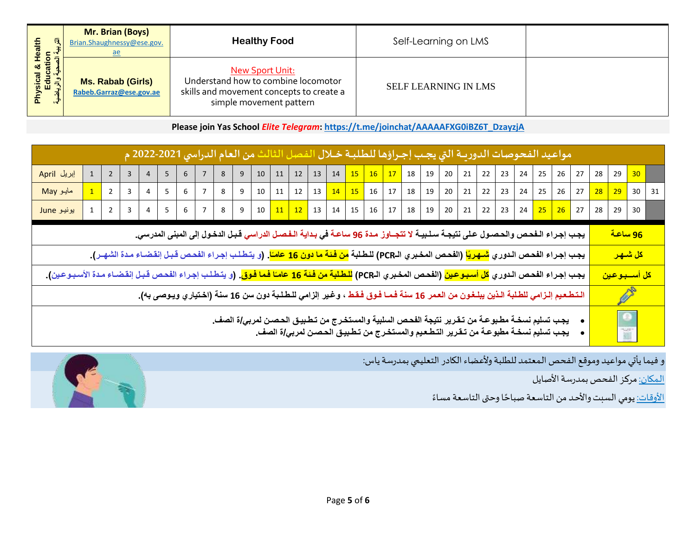| 日<br>€<br>ಹ<br>ឺـ                                  | Mr. Brian (Boys)<br>Brian.Shaughnessy@ese.gov.<br><u>ae</u> | <b>Healthy Food</b>                                                                                                                  | Self-Learning on LMS        |  |
|----------------------------------------------------|-------------------------------------------------------------|--------------------------------------------------------------------------------------------------------------------------------------|-----------------------------|--|
| sical & Hear<br>Education<br>- الصحية والزيد<br>ξq | <b>Ms. Rabab (Girls)</b><br>Rabeb.Garraz@ese.gov.ae         | <b>New Sport Unit:</b><br>Understand how to combine locomotor<br>skills and movement concepts to create a<br>simple movement pattern | <b>SELF LEARNING IN LMS</b> |  |

**Please join Yas School** *Elite Telegram***: [https://t.me/joinchat/AAAAAFXG0iBZ6T\\_DzayzjA](https://t.me/joinchat/AAAAAFXG0iBZ6T_DzayzjA)**

| مواعيد الفحوصات الدوريــة التي يجـب إجـراؤها للطلبــة خــلال الفـصل الثالث من العام الدراسي 2021-2022 م                                                                                                                                            |  |                |                |   |                |          |                |   |                |                                                                                                                                                               |                |                           |  |  |  |  |                                                                            |  |  |  |                           |                          |                      |    |  |
|----------------------------------------------------------------------------------------------------------------------------------------------------------------------------------------------------------------------------------------------------|--|----------------|----------------|---|----------------|----------|----------------|---|----------------|---------------------------------------------------------------------------------------------------------------------------------------------------------------|----------------|---------------------------|--|--|--|--|----------------------------------------------------------------------------|--|--|--|---------------------------|--------------------------|----------------------|----|--|
| إبريل April                                                                                                                                                                                                                                        |  | $\overline{2}$ | 3              |   | 5 <sub>1</sub> | 6        |                | 8 | 9 <sup>1</sup> |                                                                                                                                                               |                |                           |  |  |  |  | $10$   11   12   13   14   15   16   17   18   19   20   21   22   23   24 |  |  |  |                           | 25 26 27 28 29           |                      | 30 |  |
| مایو May                                                                                                                                                                                                                                           |  | $\overline{2}$ | 3              |   | 5 <sub>1</sub> | 6        | $\overline{7}$ | 8 | 9              |                                                                                                                                                               |                | $10 \mid 11 \mid 12 \mid$ |  |  |  |  | 13   <mark>14   15  </mark> 16   17   18   19   20   21   22   23   24     |  |  |  | $25 \mid 26 \mid 27 \mid$ |                          | 28 29 30 31          |    |  |
| یونیو June                                                                                                                                                                                                                                         |  | $\overline{2}$ | $\overline{3}$ | 4 | 5 <sup>1</sup> | $6 \mid$ |                |   |                | 7   8   9   10 <mark>  11   12  </mark> 13   14   15   16   17   18   19   20   21   22   23   24 <mark>  25   26  </mark> 27   28   29                       |                |                           |  |  |  |  |                                                                            |  |  |  |                           |                          |                      | 30 |  |
| يجب إجراء الـفحص والحصـول عـلى نتيجـة سـلـبيـة لا تتجــاوز مـدة 96 ساعـة في بـدايـة الـفـصـل الدراسي قـبـل الدخول إلى المبنى المدرسي.                                                                                                              |  |                |                |   |                |          |                |   |                |                                                                                                                                                               |                | <mark>96 ساعة</mark>      |  |  |  |  |                                                                            |  |  |  |                           |                          |                      |    |  |
|                                                                                                                                                                                                                                                    |  |                |                |   |                |          |                |   |                | يجب إجراء الفحص الدوري <mark>شهريًا</mark> (الفحص المخبري الـPCR) للطلبة <mark>من فئة ما دون 16 عامـًا</mark> . (و يتطلب إجراء الفحص قبل إنقضـاء مدة الشهـر). |                |                           |  |  |  |  |                                                                            |  |  |  |                           |                          | <mark>كل شىھر</mark> |    |  |
| يجب إجراء الفحص الدوري <mark>كل أسبوعين</mark> (الفحص المخبري الـPCR) <mark>للطلبة من فئة 16 عامـًا فما فوق</mark> . (و يتطلب إجراء الفحص قبـل إنقضـاء مـدة الأسبـوعين).                                                                           |  |                |                |   |                |          |                |   |                |                                                                                                                                                               |                |                           |  |  |  |  |                                                                            |  |  |  |                           | <mark>كل أسسبوعين</mark> |                      |    |  |
| التطعيم إلـزامي للطلبة الـذين يبلـغـون من العمر 16 سنة فـمـا فـوق فـقـط ، وغـير إلزامي للـطـلـبة دون سن 16 سنة (اخـتياري ويـوصى بـ4).                                                                                                              |  |                |                |   |                |          |                |   |                |                                                                                                                                                               | P              |                           |  |  |  |  |                                                                            |  |  |  |                           |                          |                      |    |  |
| يجب تسليم نسخــة مطـبوعــة من تـقـرير نتيجة الفحـص السلبية والمستخـرج من تـطـبيـق الحـصـن لمرب <i>ي </i> ة الصف <sub>-.</sub><br>يجب تسليم نسخــة مطبوعــة من تـقـرير التـطـعيم والمستخـرج من تـطـبيـق الحـصـن لمرب <i>ي </i> ة الصف <sub>-.</sub> |  |                |                |   |                |          |                |   |                |                                                                                                                                                               | $\bullet$<br>ĭ |                           |  |  |  |  |                                                                            |  |  |  |                           |                          |                      |    |  |

و فيما يأتي مواعيد وموقع الفحص المعتمد للطلبة ولأعضاء الكادر التعليمي بمدرسة ياس:

المكان: مركز الفحص بمدرسة الأصايل

ً<u>الأوقات:</u> يومي السبت والأحد من التاسعة صباحًا وحتى التاسعة مساءً